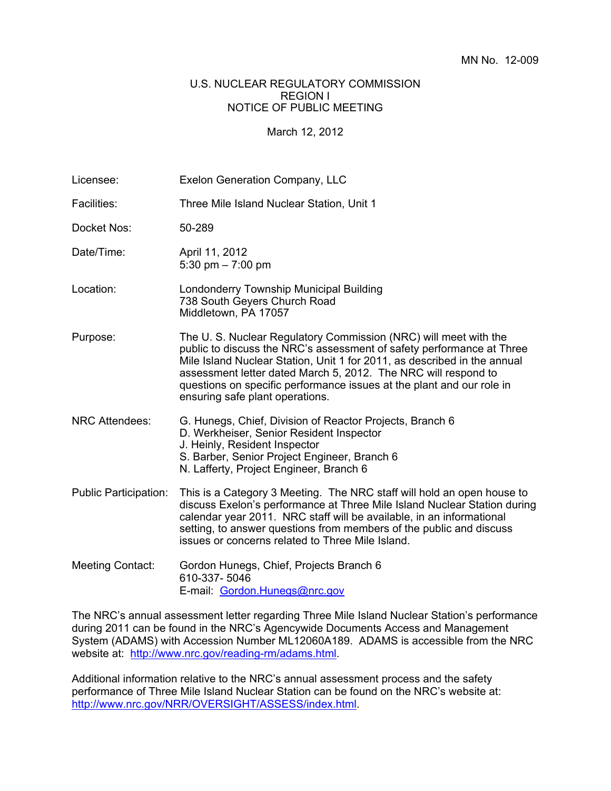## U.S. NUCLEAR REGULATORY COMMISSION REGION I NOTICE OF PUBLIC MEETING

March 12, 2012

| Licensee:                    | Exelon Generation Company, LLC                                                                                                                                                                                                                                                                                                                                                                      |
|------------------------------|-----------------------------------------------------------------------------------------------------------------------------------------------------------------------------------------------------------------------------------------------------------------------------------------------------------------------------------------------------------------------------------------------------|
| Facilities:                  | Three Mile Island Nuclear Station, Unit 1                                                                                                                                                                                                                                                                                                                                                           |
| Docket Nos:                  | 50-289                                                                                                                                                                                                                                                                                                                                                                                              |
| Date/Time:                   | April 11, 2012<br>5:30 pm $- 7:00$ pm                                                                                                                                                                                                                                                                                                                                                               |
| Location:                    | Londonderry Township Municipal Building<br>738 South Geyers Church Road<br>Middletown, PA 17057                                                                                                                                                                                                                                                                                                     |
| Purpose:                     | The U. S. Nuclear Regulatory Commission (NRC) will meet with the<br>public to discuss the NRC's assessment of safety performance at Three<br>Mile Island Nuclear Station, Unit 1 for 2011, as described in the annual<br>assessment letter dated March 5, 2012. The NRC will respond to<br>questions on specific performance issues at the plant and our role in<br>ensuring safe plant operations. |
| <b>NRC Attendees:</b>        | G. Hunegs, Chief, Division of Reactor Projects, Branch 6<br>D. Werkheiser, Senior Resident Inspector<br>J. Heinly, Resident Inspector<br>S. Barber, Senior Project Engineer, Branch 6<br>N. Lafferty, Project Engineer, Branch 6                                                                                                                                                                    |
| <b>Public Participation:</b> | This is a Category 3 Meeting. The NRC staff will hold an open house to<br>discuss Exelon's performance at Three Mile Island Nuclear Station during<br>calendar year 2011. NRC staff will be available, in an informational<br>setting, to answer questions from members of the public and discuss<br>issues or concerns related to Three Mile Island.                                               |
| <b>Meeting Contact:</b>      | Gordon Hunegs, Chief, Projects Branch 6<br>610-337-5046<br>E-mail: Gordon.Hunegs@nrc.gov                                                                                                                                                                                                                                                                                                            |

The NRC's annual assessment letter regarding Three Mile Island Nuclear Station's performance during 2011 can be found in the NRC's Agencywide Documents Access and Management System (ADAMS) with Accession Number ML12060A189. ADAMS is accessible from the NRC website at: http://www.nrc.gov/reading-rm/adams.html.

Additional information relative to the NRC's annual assessment process and the safety performance of Three Mile Island Nuclear Station can be found on the NRC's website at: http://www.nrc.gov/NRR/OVERSIGHT/ASSESS/index.html.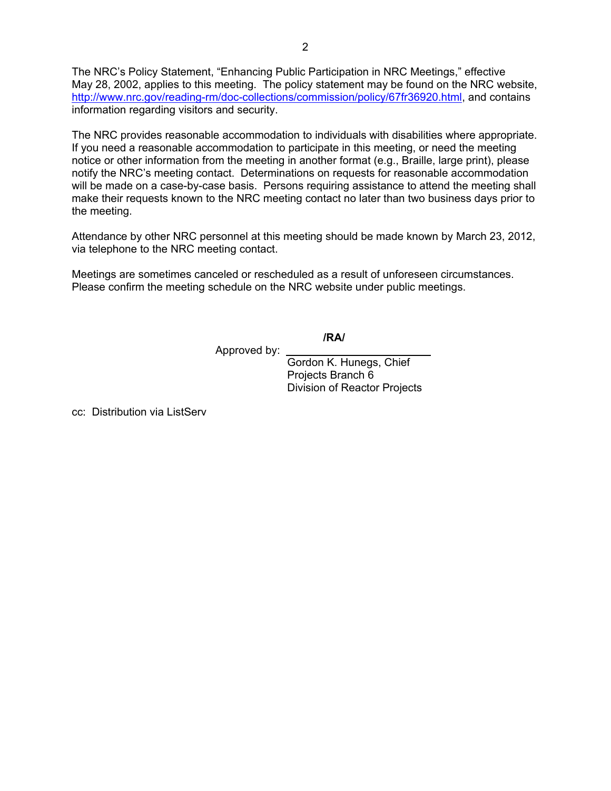The NRC's Policy Statement, "Enhancing Public Participation in NRC Meetings," effective May 28, 2002, applies to this meeting. The policy statement may be found on the NRC website, http://www.nrc.gov/reading-rm/doc-collections/commission/policy/67fr36920.html, and contains information regarding visitors and security.

The NRC provides reasonable accommodation to individuals with disabilities where appropriate. If you need a reasonable accommodation to participate in this meeting, or need the meeting notice or other information from the meeting in another format (e.g., Braille, large print), please notify the NRC's meeting contact. Determinations on requests for reasonable accommodation will be made on a case-by-case basis. Persons requiring assistance to attend the meeting shall make their requests known to the NRC meeting contact no later than two business days prior to the meeting.

Attendance by other NRC personnel at this meeting should be made known by March 23, 2012, via telephone to the NRC meeting contact.

Meetings are sometimes canceled or rescheduled as a result of unforeseen circumstances. Please confirm the meeting schedule on the NRC website under public meetings.

**/RA/** 

Approved by:

 Gordon K. Hunegs, Chief Projects Branch 6 Division of Reactor Projects

cc: Distribution via ListServ